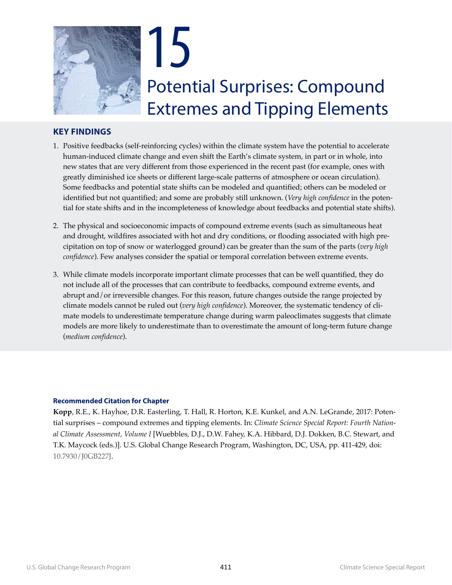

# <span id="page-0-0"></span>**KEY FINDINGS**

- 1. Positive feedbacks (self-reinforcing cycles) within the climate system have the potential to accelerate human-induced climate change and even shift the Earth's climate system, in part or in whole, into new states that are very different from those experienced in the recent past (for example, ones with greatly diminished ice sheets or different large-scale patterns of atmosphere or ocean circulation). Some feedbacks and potential state shifts can be modeled and quantified; others can be modeled or identified but not quantified; and some are probably still unknown. (*Very high confidence* in the potential for state shifts and in the incompleteness of knowledge about feedbacks and potential state shifts).
- 2. The physical and socioeconomic impacts of compound extreme events (such as simultaneous heat and drought, wildfires associated with hot and dry conditions, or flooding associated with high precipitation on top of snow or waterlogged ground) can be greater than the sum of the parts (*very high confidence*). Few analyses consider the spatial or temporal correlation between extreme events.
- 3. While climate models incorporate important climate processes that can be well quantified, they do not include all of the processes that can contribute to feedbacks, compound extreme events, and abrupt and/or irreversible changes. For this reason, future changes outside the range projected by climate models cannot be ruled out (*very high confidence*). Moreover, the systematic tendency of climate models to underestimate temperature change during warm paleoclimates suggests that climate models are more likely to underestimate than to overestimate the amount of long-term future change (*medium confidence*).

#### **Recommended Citation for Chapter**

**Kopp**, R.E., K. Hayhoe, D.R. Easterling, T. Hall, R. Horton, K.E. Kunkel, and A.N. LeGrande, 2017: Potential surprises – compound extremes and tipping elements. In: *Climate Science Special Report: Fourth National Climate Assessment, Volume I* [Wuebbles, D.J., D.W. Fahey, K.A. Hibbard, D.J. Dokken, B.C. Stewart, and T.K. Maycock (eds.)]. U.S. Global Change Research Program, Washington, DC, USA, pp. [411](#page-0-0)[-429](#page-18-0), doi: [10.7930/J0GB227J.](http://doi.org/10.7930/J0GB227J)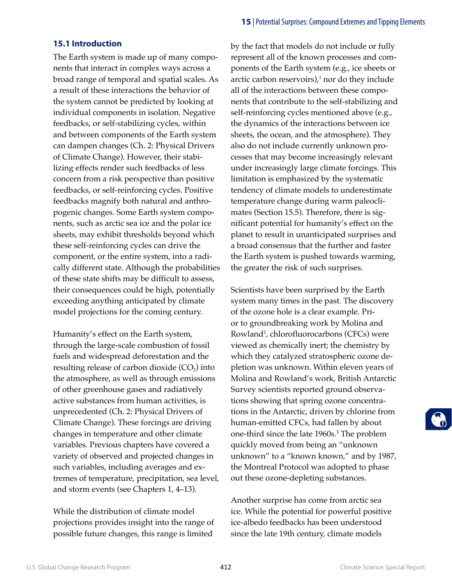# **15.1 Introduction**

The Earth system is made up of many components that interact in complex ways across a broad range of temporal and spatial scales. As a result of these interactions the behavior of the system cannot be predicted by looking at individual components in isolation. Negative feedbacks, or self-stabilizing cycles, within and between components of the Earth system can dampen changes (Ch. 2: Physical Drivers of Climate Change). However, their stabilizing effects render such feedbacks of less concern from a risk perspective than positive feedbacks, or self-reinforcing cycles. Positive feedbacks magnify both natural and anthropogenic changes. Some Earth system components, such as arctic sea ice and the polar ice sheets, may exhibit thresholds beyond which these self-reinforcing cycles can drive the component, or the entire system, into a radically different state. Although the probabilities of these state shifts may be difficult to assess, their consequences could be high, potentially exceeding anything anticipated by climate model projections for the coming century.

Humanity's effect on the Earth system, through the large-scale combustion of fossil fuels and widespread deforestation and the resulting release of carbon dioxide  $(CO<sub>2</sub>)$  into the atmosphere, as well as through emissions of other greenhouse gases and radiatively active substances from human activities, is unprecedented (Ch. 2: Physical Drivers of Climate Change). These forcings are driving changes in temperature and other climate variables. Previous chapters have covered a variety of observed and projected changes in such variables, including averages and extremes of temperature, precipitation, sea level, and storm events (see Chapters 1, 4–13).

While the distribution of climate model projections provides insight into the range of possible future changes, this range is limited

by the fact that models do not include or fully represent all of the known processes and components of the Earth system (e.g., ice sheets or arctic carbon reservoirs), $1$  nor do they include all of the interactions between these components that contribute to the self-stabilizing and self-reinforcing cycles mentioned above (e.g., the dynamics of the interactions between ice sheets, the ocean, and the atmosphere). They also do not include currently unknown processes that may become increasingly relevant under increasingly large climate forcings. This limitation is emphasized by the systematic tendency of climate models to underestimate temperature change during warm paleoclimates (Section 15.5). Therefore, there is significant potential for humanity's effect on the planet to result in unanticipated surprises and a broad consensus that the further and faster the Earth system is pushed towards warming, the greater the risk of such surprises.

Scientists have been surprised by the Earth system many times in the past. The discovery of the ozone hole is a clear example. Prior to groundbreaking work by Molina and Rowland2 , chlorofluorocarbons (CFCs) were viewed as chemically inert; the chemistry by which they catalyzed stratospheric ozone depletion was unknown. Within eleven years of Molina and Rowland's work, British Antarctic Survey scientists reported ground observations showing that spring ozone concentrations in the Antarctic, driven by chlorine from human-emitted CFCs, had fallen by about one-third since the late 1960s.<sup>3</sup> The problem quickly moved from being an "unknown unknown" to a "known known," and by 1987, the Montreal Protocol was adopted to phase out these ozone-depleting substances.

Another surprise has come from arctic sea ice. While the potential for powerful positive ice-albedo feedbacks has been understood since the late 19th century, climate models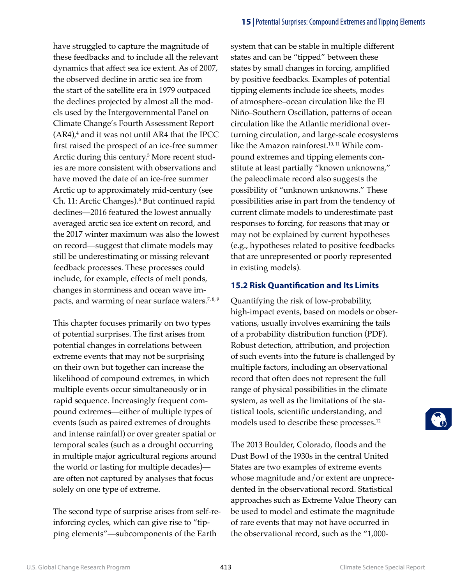have struggled to capture the magnitude of these feedbacks and to include all the relevant dynamics that affect sea ice extent. As of 2007, the observed decline in arctic sea ice from the start of the satellite era in 1979 outpaced the declines projected by almost all the models used by the Intergovernmental Panel on Climate Change's Fourth Assessment Report  $(AR4)_t^4$  and it was not until AR4 that the IPCC first raised the prospect of an ice-free summer Arctic during this century.<sup>5</sup> More recent studies are more consistent with observations and have moved the date of an ice-free summer Arctic up to approximately mid-century (see Ch. 11: Arctic Changes).<sup>6</sup> But continued rapid declines—2016 featured the lowest annually averaged arctic sea ice extent on record, and the 2017 winter maximum was also the lowest on record—suggest that climate models may still be underestimating or missing relevant feedback processes. These processes could include, for example, effects of melt ponds, changes in storminess and ocean wave impacts, and warming of near surface waters.<sup>7, 8, 9</sup>

This chapter focuses primarily on two types of potential surprises. The first arises from potential changes in correlations between extreme events that may not be surprising on their own but together can increase the likelihood of compound extremes, in which multiple events occur simultaneously or in rapid sequence. Increasingly frequent compound extremes—either of multiple types of events (such as paired extremes of droughts and intense rainfall) or over greater spatial or temporal scales (such as a drought occurring in multiple major agricultural regions around the world or lasting for multiple decades) are often not captured by analyses that focus solely on one type of extreme.

The second type of surprise arises from self-reinforcing cycles, which can give rise to "tipping elements"—subcomponents of the Earth

system that can be stable in multiple different states and can be "tipped" between these states by small changes in forcing, amplified by positive feedbacks. Examples of potential tipping elements include ice sheets, modes of atmosphere–ocean circulation like the El Niño–Southern Oscillation, patterns of ocean circulation like the Atlantic meridional overturning circulation, and large-scale ecosystems like the Amazon rainforest.<sup>10, 11</sup> While compound extremes and tipping elements constitute at least partially "known unknowns," the paleoclimate record also suggests the possibility of "unknown unknowns." These possibilities arise in part from the tendency of current climate models to underestimate past responses to forcing, for reasons that may or may not be explained by current hypotheses (e.g., hypotheses related to positive feedbacks that are unrepresented or poorly represented in existing models).

# **15.2 Risk Quantification and Its Limits**

Quantifying the risk of low-probability, high-impact events, based on models or observations, usually involves examining the tails of a probability distribution function (PDF). Robust detection, attribution, and projection of such events into the future is challenged by multiple factors, including an observational record that often does not represent the full range of physical possibilities in the climate system, as well as the limitations of the statistical tools, scientific understanding, and models used to describe these processes.<sup>12</sup>

The 2013 Boulder, Colorado, floods and the Dust Bowl of the 1930s in the central United States are two examples of extreme events whose magnitude and/or extent are unprecedented in the observational record. Statistical approaches such as Extreme Value Theory can be used to model and estimate the magnitude of rare events that may not have occurred in the observational record, such as the "1,000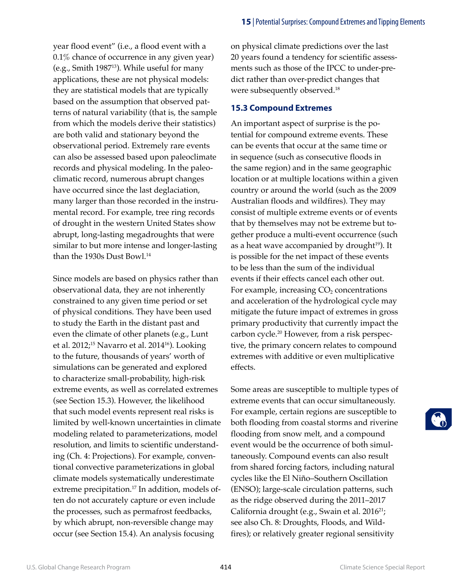year flood event" (i.e., a flood event with a 0.1% chance of occurrence in any given year) (e.g., Smith 198713). While useful for many applications, these are not physical models: they are statistical models that are typically based on the assumption that observed patterns of natural variability (that is, the sample from which the models derive their statistics) are both valid and stationary beyond the observational period. Extremely rare events can also be assessed based upon paleoclimate records and physical modeling. In the paleoclimatic record, numerous abrupt changes have occurred since the last deglaciation, many larger than those recorded in the instrumental record. For example, tree ring records of drought in the western United States show abrupt, long-lasting megadroughts that were similar to but more intense and longer-lasting than the 1930s Dust Bowl.<sup>14</sup>

Since models are based on physics rather than observational data, they are not inherently constrained to any given time period or set of physical conditions. They have been used to study the Earth in the distant past and even the climate of other planets (e.g., Lunt et al. 2012;<sup>15</sup> Navarro et al. 2014<sup>16</sup>). Looking to the future, thousands of years' worth of simulations can be generated and explored to characterize small-probability, high-risk extreme events, as well as correlated extremes (see Section 15.3). However, the likelihood that such model events represent real risks is limited by well-known uncertainties in climate modeling related to parameterizations, model resolution, and limits to scientific understanding (Ch. 4: Projections). For example, conventional convective parameterizations in global climate models systematically underestimate extreme precipitation.<sup>17</sup> In addition, models often do not accurately capture or even include the processes, such as permafrost feedbacks, by which abrupt, non-reversible change may occur (see Section 15.4). An analysis focusing

on physical climate predictions over the last 20 years found a tendency for scientific assessments such as those of the IPCC to under-predict rather than over-predict changes that were subsequently observed.18

### **15.3 Compound Extremes**

An important aspect of surprise is the potential for compound extreme events. These can be events that occur at the same time or in sequence (such as consecutive floods in the same region) and in the same geographic location or at multiple locations within a given country or around the world (such as the 2009 Australian floods and wildfires). They may consist of multiple extreme events or of events that by themselves may not be extreme but together produce a multi-event occurrence (such as a heat wave accompanied by drought $19$ ). It is possible for the net impact of these events to be less than the sum of the individual events if their effects cancel each other out. For example, increasing  $CO<sub>2</sub>$  concentrations and acceleration of the hydrological cycle may mitigate the future impact of extremes in gross primary productivity that currently impact the carbon cycle.20 However, from a risk perspective, the primary concern relates to compound extremes with additive or even multiplicative effects.

Some areas are susceptible to multiple types of extreme events that can occur simultaneously. For example, certain regions are susceptible to both flooding from coastal storms and riverine flooding from snow melt, and a compound event would be the occurrence of both simultaneously. Compound events can also result from shared forcing factors, including natural cycles like the El Niño–Southern Oscillation (ENSO); large-scale circulation patterns, such as the ridge observed during the 2011–2017 California drought (e.g., Swain et al. 2016<sup>21</sup>; see also Ch. 8: Droughts, Floods, and Wildfires); or relatively greater regional sensitivity

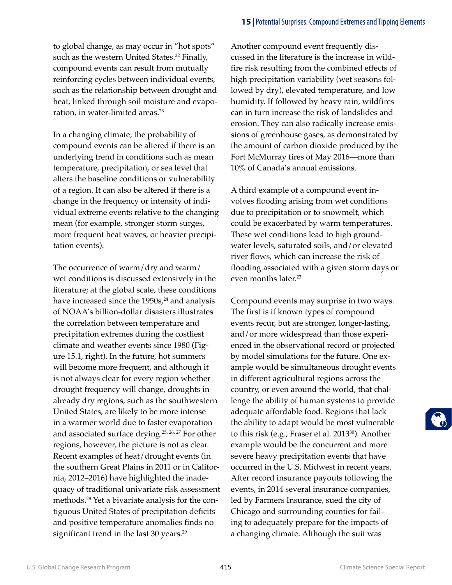to global change, as may occur in "hot spots" such as the western United States.<sup>22</sup> Finally, compound events can result from mutually reinforcing cycles between individual events, such as the relationship between drought and heat, linked through soil moisture and evaporation, in water-limited areas.<sup>23</sup>

In a changing climate, the probability of compound events can be altered if there is an underlying trend in conditions such as mean temperature, precipitation, or sea level that alters the baseline conditions or vulnerability of a region. It can also be altered if there is a change in the frequency or intensity of individual extreme events relative to the changing mean (for example, stronger storm surges, more frequent heat waves, or heavier precipitation events).

The occurrence of warm/dry and warm/ wet conditions is discussed extensively in the literature; at the global scale, these conditions have increased since the 1950s,<sup>24</sup> and analysis of NOAA's billion-dollar disasters illustrates the correlation between temperature and precipitation extremes during the costliest climate and weather events since 1980 (Figure 15.1, right). In the future, hot summers will become more frequent, and although it is not always clear for every region whether drought frequency will change, droughts in already dry regions, such as the southwestern United States, are likely to be more intense in a warmer world due to faster evaporation and associated surface drying.25, 26, 27 For other regions, however, the picture is not as clear. Recent examples of heat/drought events (in the southern Great Plains in 2011 or in California, 2012–2016) have highlighted the inadequacy of traditional univariate risk assessment methods.28 Yet a bivariate analysis for the contiguous United States of precipitation deficits and positive temperature anomalies finds no significant trend in the last 30 years.<sup>29</sup>

Another compound event frequently discussed in the literature is the increase in wildfire risk resulting from the combined effects of high precipitation variability (wet seasons followed by dry), elevated temperature, and low humidity. If followed by heavy rain, wildfires can in turn increase the risk of landslides and erosion. They can also radically increase emissions of greenhouse gases, as demonstrated by the amount of carbon dioxide produced by the Fort McMurray fires of May 2016—more than 10% of Canada's annual emissions.

A third example of a compound event involves flooding arising from wet conditions due to precipitation or to snowmelt, which could be exacerbated by warm temperatures. These wet conditions lead to high groundwater levels, saturated soils, and/or elevated river flows, which can increase the risk of flooding associated with a given storm days or even months later.<sup>23</sup>

Compound events may surprise in two ways. The first is if known types of compound events recur, but are stronger, longer-lasting, and/or more widespread than those experienced in the observational record or projected by model simulations for the future. One example would be simultaneous drought events in different agricultural regions across the country, or even around the world, that challenge the ability of human systems to provide adequate affordable food. Regions that lack the ability to adapt would be most vulnerable to this risk (e.g., Fraser et al. 2013<sup>30</sup>). Another example would be the concurrent and more severe heavy precipitation events that have occurred in the U.S. Midwest in recent years. After record insurance payouts following the events, in 2014 several insurance companies, led by Farmers Insurance, sued the city of Chicago and surrounding counties for failing to adequately prepare for the impacts of a changing climate. Although the suit was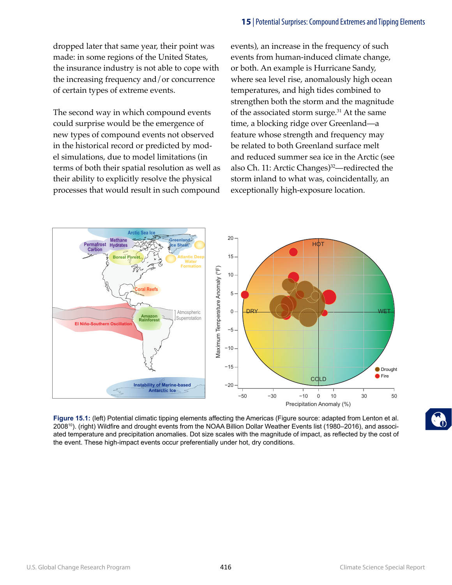dropped later that same year, their point was made: in some regions of the United States, the insurance industry is not able to cope with the increasing frequency and/or concurrence of certain types of extreme events.

The second way in which compound events could surprise would be the emergence of new types of compound events not observed in the historical record or predicted by model simulations, due to model limitations (in terms of both their spatial resolution as well as their ability to explicitly resolve the physical processes that would result in such compound events), an increase in the frequency of such events from human-induced climate change, or both. An example is Hurricane Sandy, where sea level rise, anomalously high ocean temperatures, and high tides combined to strengthen both the storm and the magnitude of the associated storm surge.<sup>31</sup> At the same time, a blocking ridge over Greenland—a feature whose strength and frequency may be related to both Greenland surface melt and reduced summer sea ice in the Arctic (see also Ch. 11: Arctic Changes)<sup>32</sup>—redirected the storm inland to what was, coincidentally, an exceptionally high-exposure location.



**Figure 15.1:** (left) Potential climatic tipping elements affecting the Americas (Figure source: adapted from Lenton et al. 200810). (right) Wildfire and drought events from the NOAA Billion Dollar Weather Events list (1980–2016), and associated temperature and precipitation anomalies. Dot size scales with the magnitude of impact, as reflected by the cost of the event. These high-impact events occur preferentially under hot, dry conditions.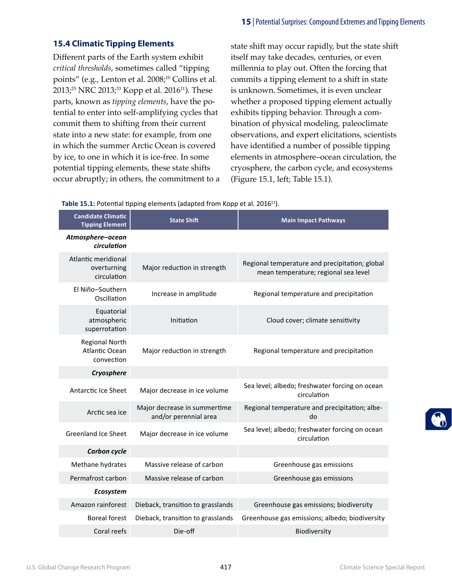# **15.4 Climatic Tipping Elements**

Different parts of the Earth system exhibit *critical thresholds*, sometimes called "tipping points" (e.g., Lenton et al. 2008;<sup>10</sup> Collins et al. 2013;<sup>25</sup> NRC 2013;<sup>33</sup> Kopp et al. 2016<sup>11</sup>). These parts, known as *tipping elements*, have the potential to enter into self-amplifying cycles that commit them to shifting from their current state into a new state: for example, from one in which the summer Arctic Ocean is covered by ice, to one in which it is ice-free. In some potential tipping elements, these state shifts occur abruptly; in others, the commitment to a state shift may occur rapidly, but the state shift itself may take decades, centuries, or even millennia to play out. Often the forcing that commits a tipping element to a shift in state is unknown. Sometimes, it is even unclear whether a proposed tipping element actually exhibits tipping behavior. Through a combination of physical modeling, paleoclimate observations, and expert elicitations, scientists have identified a number of possible tipping elements in atmosphere–ocean circulation, the cryosphere, the carbon cycle, and ecosystems (Figure 15.1, left; Table 15.1).

#### Table 15.1: Potential tipping elements (adapted from Kopp et al. 2016<sup>11</sup>).

| <b>Candidate Climatic</b><br><b>Tipping Element</b>   | <b>State Shift</b>                                    | <b>Main Impact Pathways</b>                                                            |
|-------------------------------------------------------|-------------------------------------------------------|----------------------------------------------------------------------------------------|
| Atmosphere-ocean<br>circulation                       |                                                       |                                                                                        |
| Atlantic meridional<br>overturning<br>circulation     | Major reduction in strength                           | Regional temperature and precipitation; global<br>mean temperature; regional sea level |
| El Niño-Southern<br>Oscillation                       | Increase in amplitude                                 | Regional temperature and precipitation                                                 |
| Equatorial<br>atmospheric<br>superrotation            | Initiation                                            | Cloud cover; climate sensitivity                                                       |
| <b>Regional North</b><br>Atlantic Ocean<br>convection | Major reduction in strength                           | Regional temperature and precipitation                                                 |
| Cryosphere                                            |                                                       |                                                                                        |
| Antarctic Ice Sheet                                   | Major decrease in ice volume                          | Sea level; albedo; freshwater forcing on ocean<br>circulation                          |
| Arctic sea ice                                        | Major decrease in summertime<br>and/or perennial area | Regional temperature and precipitation; albe-<br>do                                    |
| <b>Greenland Ice Sheet</b>                            | Major decrease in ice volume                          | Sea level; albedo; freshwater forcing on ocean<br>circulation                          |
| Carbon cycle                                          |                                                       |                                                                                        |
| Methane hydrates                                      | Massive release of carbon                             | Greenhouse gas emissions                                                               |
| Permafrost carbon                                     | Massive release of carbon                             | Greenhouse gas emissions                                                               |
| Ecosystem                                             |                                                       |                                                                                        |
| Amazon rainforest                                     | Dieback, transition to grasslands                     | Greenhouse gas emissions; biodiversity                                                 |
| <b>Boreal forest</b>                                  | Dieback, transition to grasslands                     | Greenhouse gas emissions; albedo; biodiversity                                         |
| Coral reefs                                           | Die-off                                               | Biodiversity                                                                           |

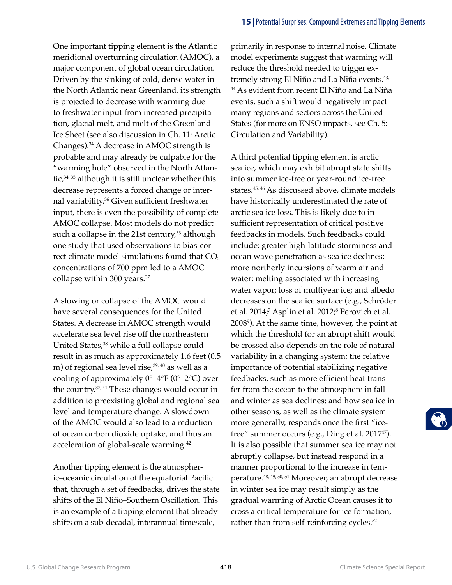One important tipping element is the Atlantic meridional overturning circulation (AMOC), a major component of global ocean circulation. Driven by the sinking of cold, dense water in the North Atlantic near Greenland, its strength is projected to decrease with warming due to freshwater input from increased precipitation, glacial melt, and melt of the Greenland Ice Sheet (see also discussion in Ch. 11: Arctic Changes).34 A decrease in AMOC strength is probable and may already be culpable for the "warming hole" observed in the North Atlantic, $34, 35$  although it is still unclear whether this decrease represents a forced change or internal variability.36 Given sufficient freshwater input, there is even the possibility of complete AMOC collapse. Most models do not predict such a collapse in the 21st century, $33$  although one study that used observations to bias-correct climate model simulations found that CO<sub>2</sub> concentrations of 700 ppm led to a AMOC collapse within 300 years.<sup>37</sup>

A slowing or collapse of the AMOC would have several consequences for the United States. A decrease in AMOC strength would accelerate sea level rise off the northeastern United States,<sup>38</sup> while a full collapse could result in as much as approximately 1.6 feet (0.5 m) of regional sea level rise, $39, 40$  as well as a cooling of approximately  $0^{\circ}$ –4°F ( $0^{\circ}$ –2°C) over the country.37, 41 These changes would occur in addition to preexisting global and regional sea level and temperature change. A slowdown of the AMOC would also lead to a reduction of ocean carbon dioxide uptake, and thus an acceleration of global-scale warming.42

Another tipping element is the atmospheric–oceanic circulation of the equatorial Pacific that, through a set of feedbacks, drives the state shifts of the El Niño–Southern Oscillation. This is an example of a tipping element that already shifts on a sub-decadal, interannual timescale,

primarily in response to internal noise. Climate model experiments suggest that warming will reduce the threshold needed to trigger extremely strong El Niño and La Niña events.<sup>43,</sup> 44 As evident from recent El Niño and La Niña events, such a shift would negatively impact many regions and sectors across the United States (for more on ENSO impacts, see Ch. 5: Circulation and Variability).

A third potential tipping element is arctic sea ice, which may exhibit abrupt state shifts into summer ice-free or year-round ice-free states.45, 46 As discussed above, climate models have historically underestimated the rate of arctic sea ice loss. This is likely due to insufficient representation of critical positive feedbacks in models. Such feedbacks could include: greater high-latitude storminess and ocean wave penetration as sea ice declines; more northerly incursions of warm air and water; melting associated with increasing water vapor; loss of multiyear ice; and albedo decreases on the sea ice surface (e.g., Schröder et al. 2014;<sup>7</sup> Asplin et al. 2012;<sup>8</sup> Perovich et al. 20089 ). At the same time, however, the point at which the threshold for an abrupt shift would be crossed also depends on the role of natural variability in a changing system; the relative importance of potential stabilizing negative feedbacks, such as more efficient heat transfer from the ocean to the atmosphere in fall and winter as sea declines; and how sea ice in other seasons, as well as the climate system more generally, responds once the first "icefree" summer occurs (e.g., Ding et al.  $2017^{47}$ ). It is also possible that summer sea ice may not abruptly collapse, but instead respond in a manner proportional to the increase in temperature.48, 49, 50, 51 Moreover, an abrupt decrease in winter sea ice may result simply as the gradual warming of Arctic Ocean causes it to cross a critical temperature for ice formation, rather than from self-reinforcing cycles.<sup>52</sup>

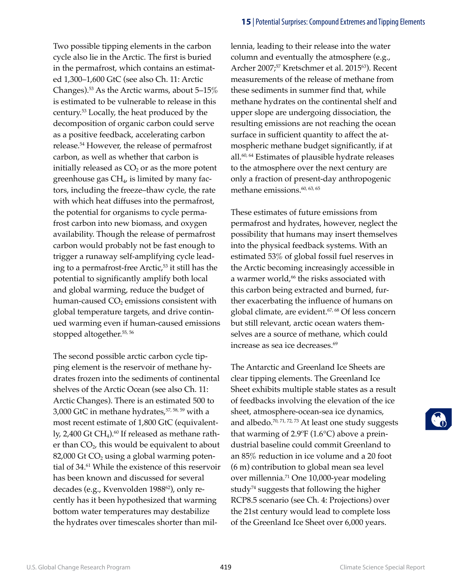Two possible tipping elements in the carbon cycle also lie in the Arctic. The first is buried in the permafrost, which contains an estimated 1,300–1,600 GtC (see also Ch. 11: Arctic Changes).53 As the Arctic warms, about 5–15% is estimated to be vulnerable to release in this century.53 Locally, the heat produced by the decomposition of organic carbon could serve as a positive feedback, accelerating carbon release.54 However, the release of permafrost carbon, as well as whether that carbon is initially released as  $CO<sub>2</sub>$  or as the more potent greenhouse gas  $CH_4$ , is limited by many factors, including the freeze–thaw cycle, the rate with which heat diffuses into the permafrost, the potential for organisms to cycle permafrost carbon into new biomass, and oxygen availability. Though the release of permafrost carbon would probably not be fast enough to trigger a runaway self-amplifying cycle leading to a permafrost-free Arctic, $53$  it still has the potential to significantly amplify both local and global warming, reduce the budget of human-caused  $CO<sub>2</sub>$  emissions consistent with global temperature targets, and drive continued warming even if human-caused emissions stopped altogether.<sup>55, 56</sup>

The second possible arctic carbon cycle tipping element is the reservoir of methane hydrates frozen into the sediments of continental shelves of the Arctic Ocean (see also Ch. 11: Arctic Changes). There is an estimated 500 to 3,000 GtC in methane hydrates, $57,58,59$  with a most recent estimate of 1,800 GtC (equivalently, 2,400 Gt CH<sub>4</sub>).<sup>60</sup> If released as methane rather than  $CO<sub>2</sub>$ , this would be equivalent to about  $82,000$  Gt CO<sub>2</sub> using a global warming potential of 34.<sup>61</sup> While the existence of this reservoir has been known and discussed for several decades (e.g., Kvenvolden 1988<sup>62</sup>), only recently has it been hypothesized that warming bottom water temperatures may destabilize the hydrates over timescales shorter than millennia, leading to their release into the water column and eventually the atmosphere (e.g., Archer 2007;<sup>57</sup> Kretschmer et al. 2015<sup>63</sup>). Recent measurements of the release of methane from these sediments in summer find that, while methane hydrates on the continental shelf and upper slope are undergoing dissociation, the resulting emissions are not reaching the ocean surface in sufficient quantity to affect the atmospheric methane budget significantly, if at all.60, 64 Estimates of plausible hydrate releases to the atmosphere over the next century are only a fraction of present-day anthropogenic methane emissions.<sup>60, 63, 65</sup>

These estimates of future emissions from permafrost and hydrates, however, neglect the possibility that humans may insert themselves into the physical feedback systems. With an estimated 53% of global fossil fuel reserves in the Arctic becoming increasingly accessible in a warmer world,<sup>66</sup> the risks associated with this carbon being extracted and burned, further exacerbating the influence of humans on global climate, are evident.<sup>67, 68</sup> Of less concern but still relevant, arctic ocean waters themselves are a source of methane, which could increase as sea ice decreases.<sup>69</sup>

The Antarctic and Greenland Ice Sheets are clear tipping elements. The Greenland Ice Sheet exhibits multiple stable states as a result of feedbacks involving the elevation of the ice sheet, atmosphere-ocean-sea ice dynamics, and albedo.<sup>70, 71, 72, 73</sup> At least one study suggests that warming of  $2.9^{\circ}F(1.6^{\circ}C)$  above a preindustrial baseline could commit Greenland to an 85% reduction in ice volume and a 20 foot (6 m) contribution to global mean sea level over millennia.<sup>71</sup> One 10,000-year modeling study<sup>74</sup> suggests that following the higher RCP8.5 scenario (see Ch. 4: Projections) over the 21st century would lead to complete loss of the Greenland Ice Sheet over 6,000 years.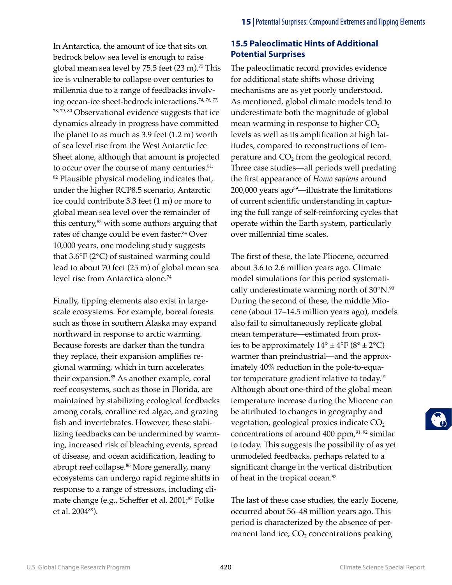In Antarctica, the amount of ice that sits on bedrock below sea level is enough to raise global mean sea level by  $75.5$  feet  $(23 \text{ m})$ .<sup>75</sup> This ice is vulnerable to collapse over centuries to millennia due to a range of feedbacks involving ocean-ice sheet-bedrock interactions.74, 76, 77, 78, 79, 80 Observational evidence suggests that ice dynamics already in progress have committed the planet to as much as 3.9 feet (1.2 m) worth of sea level rise from the West Antarctic Ice Sheet alone, although that amount is projected to occur over the course of many centuries.<sup>81,</sup> <sup>82</sup> Plausible physical modeling indicates that, under the higher RCP8.5 scenario, Antarctic ice could contribute 3.3 feet (1 m) or more to global mean sea level over the remainder of this century, $83$  with some authors arguing that rates of change could be even faster.<sup>84</sup> Over 10,000 years, one modeling study suggests that 3.6°F (2°C) of sustained warming could lead to about 70 feet (25 m) of global mean sea level rise from Antarctica alone.74

Finally, tipping elements also exist in largescale ecosystems. For example, boreal forests such as those in southern Alaska may expand northward in response to arctic warming. Because forests are darker than the tundra they replace, their expansion amplifies regional warming, which in turn accelerates their expansion.<sup>85</sup> As another example, coral reef ecosystems, such as those in Florida, are maintained by stabilizing ecological feedbacks among corals, coralline red algae, and grazing fish and invertebrates. However, these stabilizing feedbacks can be undermined by warming, increased risk of bleaching events, spread of disease, and ocean acidification, leading to abrupt reef collapse.<sup>86</sup> More generally, many ecosystems can undergo rapid regime shifts in response to a range of stressors, including climate change (e.g., Scheffer et al. 2001;<sup>87</sup> Folke et al. 200488).

# **15.5 Paleoclimatic Hints of Additional Potential Surprises**

The paleoclimatic record provides evidence for additional state shifts whose driving mechanisms are as yet poorly understood. As mentioned, global climate models tend to underestimate both the magnitude of global mean warming in response to higher  $CO<sub>2</sub>$ levels as well as its amplification at high latitudes, compared to reconstructions of temperature and  $CO<sub>2</sub>$  from the geological record. Three case studies—all periods well predating the first appearance of *Homo sapiens* around  $200,000$  years ago<sup>89</sup>—illustrate the limitations of current scientific understanding in capturing the full range of self-reinforcing cycles that operate within the Earth system, particularly over millennial time scales.

The first of these, the late Pliocene, occurred about 3.6 to 2.6 million years ago. Climate model simulations for this period systematically underestimate warming north of  $30^{\circ}$ N.<sup>90</sup> During the second of these, the middle Miocene (about 17–14.5 million years ago), models also fail to simultaneously replicate global mean temperature—estimated from proxies to be approximately  $14^{\circ} \pm 4^{\circ}F (8^{\circ} \pm 2^{\circ}C)$ warmer than preindustrial—and the approximately 40% reduction in the pole-to-equator temperature gradient relative to today.<sup>91</sup> Although about one-third of the global mean temperature increase during the Miocene can be attributed to changes in geography and vegetation, geological proxies indicate  $CO<sub>2</sub>$ concentrations of around 400 ppm, <sup>91, 92</sup> similar to today. This suggests the possibility of as yet unmodeled feedbacks, perhaps related to a significant change in the vertical distribution of heat in the tropical ocean.<sup>93</sup>

The last of these case studies, the early Eocene, occurred about 56–48 million years ago. This period is characterized by the absence of permanent land ice,  $CO<sub>2</sub>$  concentrations peaking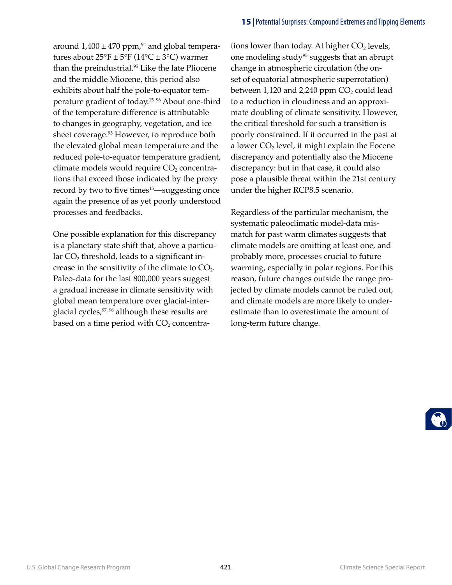around  $1,400 \pm 470$  ppm, <sup>94</sup> and global temperatures about  $25^{\circ}F \pm 5^{\circ}F (14^{\circ}C \pm 3^{\circ}C)$  warmer than the preindustrial.<sup>95</sup> Like the late Pliocene and the middle Miocene, this period also exhibits about half the pole-to-equator temperature gradient of today.15, 96 About one-third of the temperature difference is attributable to changes in geography, vegetation, and ice sheet coverage.<sup>95</sup> However, to reproduce both the elevated global mean temperature and the reduced pole-to-equator temperature gradient, climate models would require  $CO<sub>2</sub>$  concentrations that exceed those indicated by the proxy record by two to five times<sup>15</sup>—suggesting once again the presence of as yet poorly understood processes and feedbacks.

One possible explanation for this discrepancy is a planetary state shift that, above a particular  $CO<sub>2</sub>$  threshold, leads to a significant increase in the sensitivity of the climate to  $CO<sub>2</sub>$ . Paleo-data for the last 800,000 years suggest a gradual increase in climate sensitivity with global mean temperature over glacial-interglacial cycles, 97, 98 although these results are based on a time period with  $CO<sub>2</sub>$  concentrations lower than today. At higher  $CO<sub>2</sub>$  levels, one modeling study<sup>95</sup> suggests that an abrupt change in atmospheric circulation (the onset of equatorial atmospheric superrotation) between  $1,120$  and  $2,240$  ppm  $CO<sub>2</sub>$  could lead to a reduction in cloudiness and an approximate doubling of climate sensitivity. However, the critical threshold for such a transition is poorly constrained. If it occurred in the past at a lower  $CO<sub>2</sub>$  level, it might explain the Eocene discrepancy and potentially also the Miocene discrepancy: but in that case, it could also pose a plausible threat within the 21st century under the higher RCP8.5 scenario.

Regardless of the particular mechanism, the systematic paleoclimatic model-data mismatch for past warm climates suggests that climate models are omitting at least one, and probably more, processes crucial to future warming, especially in polar regions. For this reason, future changes outside the range projected by climate models cannot be ruled out, and climate models are more likely to underestimate than to overestimate the amount of long-term future change.

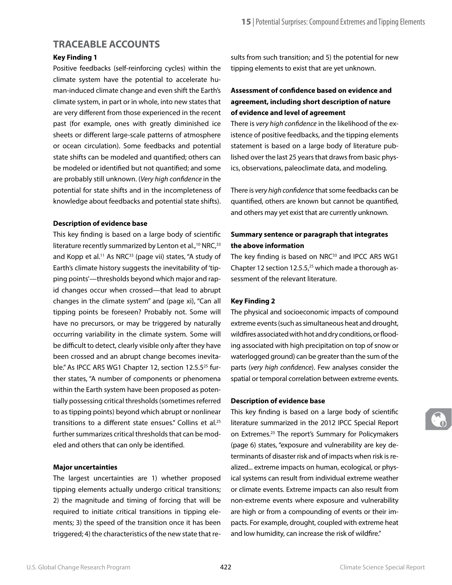# **TRACEABLE ACCOUNTS**

### **Key Finding 1**

Positive feedbacks (self-reinforcing cycles) within the climate system have the potential to accelerate human-induced climate change and even shift the Earth's climate system, in part or in whole, into new states that are very different from those experienced in the recent past (for example, ones with greatly diminished ice sheets or different large-scale patterns of atmosphere or ocean circulation). Some feedbacks and potential state shifts can be modeled and quantified; others can be modeled or identified but not quantified; and some are probably still unknown. (*Very high confidence* in the potential for state shifts and in the incompleteness of knowledge about feedbacks and potential state shifts).

### **Description of evidence base**

This key finding is based on a large body of scientific literature recently summarized by Lenton et al.,<sup>10</sup> NRC,<sup>33</sup> and Kopp et al.<sup>11</sup> As NRC $33$  (page vii) states, "A study of Earth's climate history suggests the inevitability of 'tipping points'—thresholds beyond which major and rapid changes occur when crossed—that lead to abrupt changes in the climate system" and (page xi), "Can all tipping points be foreseen? Probably not. Some will have no precursors, or may be triggered by naturally occurring variability in the climate system. Some will be difficult to detect, clearly visible only after they have been crossed and an abrupt change becomes inevitable." As IPCC AR5 WG1 Chapter 12, section 12.5.5<sup>25</sup> further states, "A number of components or phenomena within the Earth system have been proposed as potentially possessing critical thresholds (sometimes referred to as tipping points) beyond which abrupt or nonlinear transitions to a different state ensues." Collins et al.<sup>25</sup> further summarizes critical thresholds that can be modeled and others that can only be identified.

#### **Major uncertainties**

The largest uncertainties are 1) whether proposed tipping elements actually undergo critical transitions; 2) the magnitude and timing of forcing that will be required to initiate critical transitions in tipping elements; 3) the speed of the transition once it has been triggered; 4) the characteristics of the new state that results from such transition; and 5) the potential for new tipping elements to exist that are yet unknown.

# **Assessment of confidence based on evidence and agreement, including short description of nature of evidence and level of agreement**

There is *very high confidence* in the likelihood of the existence of positive feedbacks, and the tipping elements statement is based on a large body of literature published over the last 25 years that draws from basic physics, observations, paleoclimate data, and modeling.

There is *very high confidence* that some feedbacks can be quantified, others are known but cannot be quantified, and others may yet exist that are currently unknown.

# **Summary sentence or paragraph that integrates the above information**

The key finding is based on NRC<sup>33</sup> and IPCC AR5 WG1 Chapter 12 section 12.5.5, $25$  which made a thorough assessment of the relevant literature.

### **Key Finding 2**

The physical and socioeconomic impacts of compound extreme events (such as simultaneous heat and drought, wildfires associated with hot and dry conditions, or flooding associated with high precipitation on top of snow or waterlogged ground) can be greater than the sum of the parts (*very high confidence*). Few analyses consider the spatial or temporal correlation between extreme events.

### **Description of evidence base**

This key finding is based on a large body of scientific literature summarized in the 2012 IPCC Special Report on Extremes.<sup>23</sup> The report's Summary for Policymakers (page 6) states, "exposure and vulnerability are key determinants of disaster risk and of impacts when risk is realized... extreme impacts on human, ecological, or physical systems can result from individual extreme weather or climate events. Extreme impacts can also result from non-extreme events where exposure and vulnerability are high or from a compounding of events or their impacts. For example, drought, coupled with extreme heat and low humidity, can increase the risk of wildfire."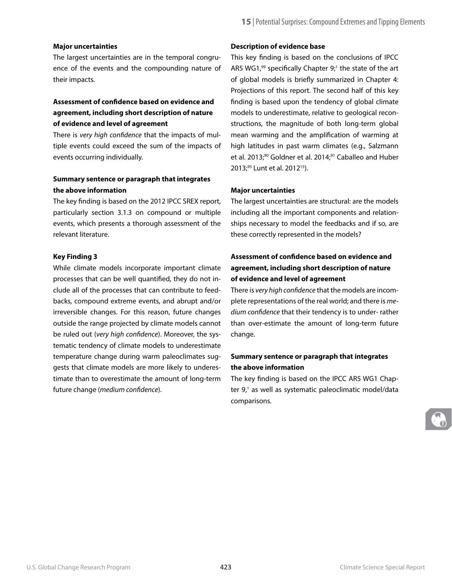#### **Major uncertainties**

The largest uncertainties are in the temporal congruence of the events and the compounding nature of their impacts.

# **Assessment of confidence based on evidence and agreement, including short description of nature of evidence and level of agreement**

There is *very high confidence* that the impacts of multiple events could exceed the sum of the impacts of events occurring individually.

### **Summary sentence or paragraph that integrates the above information**

The key finding is based on the 2012 IPCC SREX report, particularly section 3.1.3 on compound or multiple events, which presents a thorough assessment of the relevant literature.

#### **Key Finding 3**

While climate models incorporate important climate processes that can be well quantified, they do not include all of the processes that can contribute to feedbacks, compound extreme events, and abrupt and/or irreversible changes. For this reason, future changes outside the range projected by climate models cannot be ruled out (*very high confidence*). Moreover, the systematic tendency of climate models to underestimate temperature change during warm paleoclimates suggests that climate models are more likely to underestimate than to overestimate the amount of long-term future change (*medium confidence*).

#### **Description of evidence base**

This key finding is based on the conclusions of IPCC AR5 WG1, $99$  specifically Chapter  $9$ ;<sup>1</sup> the state of the art of global models is briefly summarized in Chapter 4: Projections of this report. The second half of this key finding is based upon the tendency of global climate models to underestimate, relative to geological reconstructions, the magnitude of both long-term global mean warming and the amplification of warming at high latitudes in past warm climates (e.g., Salzmann et al. 2013;<sup>90</sup> Goldner et al. 2014;<sup>91</sup> Caballeo and Huber 2013;<sup>95</sup> Lunt et al. 2012<sup>15</sup>).

#### **Major uncertainties**

The largest uncertainties are structural: are the models including all the important components and relationships necessary to model the feedbacks and if so, are these correctly represented in the models?

# **Assessment of confidence based on evidence and agreement, including short description of nature of evidence and level of agreement**

There is *very high confidence* that the models are incomplete representations of the real world; and there is *medium confidence* that their tendency is to under- rather than over-estimate the amount of long-term future change.

### **Summary sentence or paragraph that integrates the above information**

The key finding is based on the IPCC AR5 WG1 Chapter 9,<sup>1</sup> as well as systematic paleoclimatic model/data comparisons.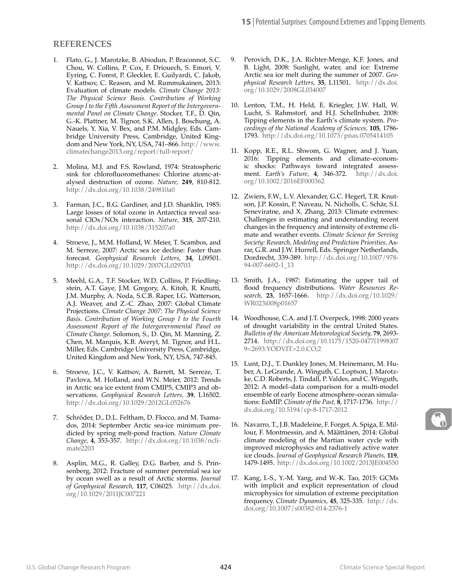### **REFERENCES**

- 1. Flato, G., J. Marotzke, B. Abiodun, P. Braconnot, S.C. Chou, W. Collins, P. Cox, F. Driouech, S. Emori, V. Eyring, C. Forest, P. Gleckler, E. Guilyardi, C. Jakob, V. Kattsov, C. Reason, and M. Rummukainen, 2013: Evaluation of climate models. *Climate Change 2013: The Physical Science Basis. Contribution of Working Group I to the Fifth Assessment Report of the Intergovernmental Panel on Climate Change*. Stocker, T.F., D. Qin, G.-K. Plattner, M. Tignor, S.K. Allen, J. Boschung, A. Nauels, Y. Xia, V. Bex, and P.M. Midgley, Eds. Cambridge University Press, Cambridge, United Kingdom and New York, NY, USA, 741–866. [http://www.](http://www.climatechange2013.org/report/full-report/) [climatechange2013.org/report/full-report/](http://www.climatechange2013.org/report/full-report/)
- 2. Molina, M.J. and F.S. Rowland, 1974: Stratospheric sink for chlorofluoromethanes: Chlorine atomc-atalysed destruction of ozone. *Nature,* **249**, 810-812. <http://dx.doi.org/10.1038/249810a0>
- 3. Farman, J.C., B.G. Gardiner, and J.D. Shanklin, 1985: Large losses of total ozone in Antarctica reveal seasonal ClOx/NOx interaction. *Nature,* **315**, 207-210. <http://dx.doi.org/10.1038/315207a0>
- 4. Stroeve, J., M.M. Holland, W. Meier, T. Scambos, and M. Serreze, 2007: Arctic sea ice decline: Faster than forecast. *Geophysical Research Letters,* **34**, L09501. <http://dx.doi.org/10.1029/2007GL029703>
- 5. Meehl, G.A., T.F. Stocker, W.D. Collins, P. Friedlingstein, A.T. Gaye, J.M. Gregory, A. Kitoh, R. Knutti, J.M. Murphy, A. Noda, S.C.B. Raper, I.G. Watterson, A.J. Weaver, and Z.-C. Zhao, 2007: Global Climate Projections. *Climate Change 2007: The Physical Science Basis. Contribution of Working Group I to the Fourth Assessment Report of the Intergovernmental Panel on Climate Change*. Solomon, S., D. Qin, M. Manning, Z. Chen, M. Marquis, K.B. Averyt, M. Tignor, and H.L. Miller, Eds. Cambridge University Press, Cambridge, United Kingdom and New York, NY, USA, 747-845.
- 6. Stroeve, J.C., V. Kattsov, A. Barrett, M. Serreze, T. Pavlova, M. Holland, and W.N. Meier, 2012: Trends in Arctic sea ice extent from CMIP5, CMIP3 and observations. *Geophysical Research Letters,* **39**, L16502. <http://dx.doi.org/10.1029/2012GL052676>
- 7. Schröder, D., D.L. Feltham, D. Flocco, and M. Tsamados, 2014: September Arctic sea-ice minimum predicted by spring melt-pond fraction. *Nature Climate Change,* **4**, 353-357. [http://dx.doi.org/10.1038/ncli](http://dx.doi.org/10.1038/nclimate2203)[mate2203](http://dx.doi.org/10.1038/nclimate2203)
- 8. Asplin, M.G., R. Galley, D.G. Barber, and S. Prinsenberg, 2012: Fracture of summer perennial sea ice by ocean swell as a result of Arctic storms. *Journal of Geophysical Research,* **117**, C06025. [http://dx.doi.](http://dx.doi.org/10.1029/2011JC007221) [org/10.1029/2011JC007221](http://dx.doi.org/10.1029/2011JC007221)
- Perovich, D.K., J.A. Richter-Menge, K.F. Jones, and B. Light, 2008: Sunlight, water, and ice: Extreme Arctic sea ice melt during the summer of 2007. *Geophysical Research Letters,* **35**, L11501. [http://dx.doi.](http://dx.doi.org/10.1029/2008GL034007) [org/10.1029/2008GL034007](http://dx.doi.org/10.1029/2008GL034007)
- 10. Lenton, T.M., H. Held, E. Kriegler, J.W. Hall, W. Lucht, S. Rahmstorf, and H.J. Schellnhuber, 2008: Tipping elements in the Earth's climate system. *Proceedings of the National Academy of Sciences,* **105**, 1786- 1793. <http://dx.doi.org/10.1073/pnas.0705414105>
- 11. Kopp, R.E., R.L. Shwom, G. Wagner, and J. Yuan, 2016: Tipping elements and climate–economic shocks: Pathways toward integrated assessment. *Earth's Future,* **4**, 346-372. [http://dx.doi.](http://dx.doi.org/10.1002/2016EF000362) [org/10.1002/2016EF000362](http://dx.doi.org/10.1002/2016EF000362)
- 12. Zwiers, F.W., L.V. Alexander, G.C. Hegerl, T.R. Knutson, J.P. Kossin, P. Naveau, N. Nicholls, C. Schär, S.I. Seneviratne, and X. Zhang, 2013: Climate extremes: Challenges in estimating and understanding recent changes in the frequency and intensity of extreme climate and weather events. *Climate Science for Serving Society: Research, Modeling and Prediction Priorities*. Asrar, G.R. and J.W. Hurrell, Eds. Springer Netherlands, Dordrecht, 339-389. [http://dx.doi.org/10.1007/978-](http://dx.doi.org/10.1007/978-94-007-6692-1_13) [94-007-6692-1\\_13](http://dx.doi.org/10.1007/978-94-007-6692-1_13)
- 13. Smith, J.A., 1987: Estimating the upper tail of flood frequency distributions. *Water Resources Research,* **23**, 1657-1666. [http://dx.doi.org/10.1029/](http://dx.doi.org/10.1029/WR023i008p01657) [WR023i008p01657](http://dx.doi.org/10.1029/WR023i008p01657)
- 14. Woodhouse, C.A. and J.T. Overpeck, 1998: 2000 years of drought variability in the central United States. *Bulletin of the American Meteorological Society,* **79**, 2693- 2714. [http://dx.doi.org/10.1175/1520-0477\(1998\)07](http://journals.ametsoc.org/doi/abs/10.1175/1520-0477%281998%29079%3C2693%3AYODVIT%3E2.0.CO%3B2) [9<2693:YODVIT>2.0.CO;2](http://journals.ametsoc.org/doi/abs/10.1175/1520-0477%281998%29079%3C2693%3AYODVIT%3E2.0.CO%3B2)
- 15. Lunt, D.J., T. Dunkley Jones, M. Heinemann, M. Huber, A. LeGrande, A. Winguth, C. Loptson, J. Marotzke, C.D. Roberts, J. Tindall, P. Valdes, and C. Winguth, 2012: A model–data comparison for a multi-model ensemble of early Eocene atmosphere–ocean simulations: EoMIP. *Climate of the Past,* **8**, 1717-1736. [http://](http://dx.doi.org/10.5194/cp-8-1717-2012) [dx.doi.org/10.5194/cp-8-1717-2012](http://dx.doi.org/10.5194/cp-8-1717-2012)
- 16. Navarro, T., J.B. Madeleine, F. Forget, A. Spiga, E. Millour, F. Montmessin, and A. Määttänen, 2014: Global climate modeling of the Martian water cycle with improved microphysics and radiatively active water ice clouds. *Journal of Geophysical Research Planets,* **119**, 1479-1495. <http://dx.doi.org/10.1002/2013JE004550>
- 17. Kang, I.-S., Y.-M. Yang, and W.-K. Tao, 2015: GCMs with implicit and explicit representation of cloud microphysics for simulation of extreme precipitation frequency. *Climate Dynamics,* **45**, 325-335. [http://dx.](http://dx.doi.org/10.1007/s00382-014-2376-1) [doi.org/10.1007/s00382-014-2376-1](http://dx.doi.org/10.1007/s00382-014-2376-1)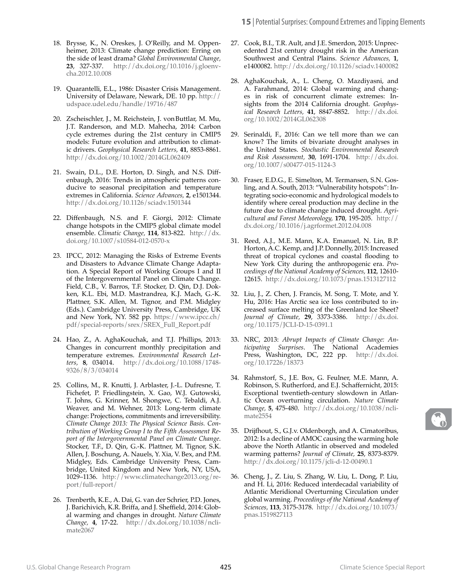- 18. Brysse, K., N. Oreskes, J. O'Reilly, and M. Oppenheimer, 2013: Climate change prediction: Erring on the side of least drama? *Global Environmental Change,* **23**, 327-337. [http://dx.doi.org/10.1016/j.gloenv](http://dx.doi.org/10.1016/j.gloenvcha.2012.10.008)[cha.2012.10.008](http://dx.doi.org/10.1016/j.gloenvcha.2012.10.008)
- 19. Quarantelli, E.L., 1986: Disaster Crisis Management. University of Delaware, Newark, DE. 10 pp. [http://](http://udspace.udel.edu/handle/19716/487) [udspace.udel.edu/handle/19716/487](http://udspace.udel.edu/handle/19716/487)
- 20. Zscheischler, J., M. Reichstein, J. vonButtlar, M. Mu, J.T. Randerson, and M.D. Mahecha, 2014: Carbon cycle extremes during the 21st century in CMIP5 models: Future evolution and attribution to climatic drivers. *Geophysical Research Letters,* **41**, 8853-8861. <http://dx.doi.org/10.1002/2014GL062409>
- 21. Swain, D.L., D.E. Horton, D. Singh, and N.S. Diffenbaugh, 2016: Trends in atmospheric patterns conducive to seasonal precipitation and temperature extremes in California. *Science Advances,* **2**, e1501344. <http://dx.doi.org/10.1126/sciadv.1501344>
- 22. Diffenbaugh, N.S. and F. Giorgi, 2012: Climate change hotspots in the CMIP5 global climate model ensemble. *Climatic Change,* **114**, 813-822. [http://dx.](http://dx.doi.org/10.1007/s10584-012-0570-x) [doi.org/10.1007/s10584-012-0570-x](http://dx.doi.org/10.1007/s10584-012-0570-x)
- 23. IPCC, 2012: Managing the Risks of Extreme Events and Disasters to Advance Climate Change Adaptation. A Special Report of Working Groups I and II of the Intergovernmental Panel on Climate Change. Field, C.B., V. Barros, T.F. Stocker, D. Qin, D.J. Dokken, K.L. Ebi, M.D. Mastrandrea, K.J. Mach, G.-K. Plattner, S.K. Allen, M. Tignor, and P.M. Midgley (Eds.). Cambridge University Press, Cambridge, UK and New York, NY. 582 pp. [https://www.ipcc.ch/](https://www.ipcc.ch/pdf/special-reports/srex/SREX_Full_Report.pdf) [pdf/special-reports/srex/SREX\\_Full\\_Report.pdf](https://www.ipcc.ch/pdf/special-reports/srex/SREX_Full_Report.pdf)
- 24. Hao, Z., A. AghaKouchak, and T.J. Phillips, 2013: Changes in concurrent monthly precipitation and temperature extremes. *Environmental Research Letters,* **8**, 034014. [http://dx.doi.org/10.1088/1748-](http://dx.doi.org/10.1088/1748-9326/8/3/034014) [9326/8/3/034014](http://dx.doi.org/10.1088/1748-9326/8/3/034014)
- 25. Collins, M., R. Knutti, J. Arblaster, J.-L. Dufresne, T. Fichefet, P. Friedlingstein, X. Gao, W.J. Gutowski, T. Johns, G. Krinner, M. Shongwe, C. Tebaldi, A.J. Weaver, and M. Wehner, 2013: Long-term climate change: Projections, commitments and irreversibility. *Climate Change 2013: The Physical Science Basis. Contribution of Working Group I to the Fifth Assessment Report of the Intergovernmental Panel on Climate Change*. Stocker, T.F., D. Qin, G.-K. Plattner, M. Tignor, S.K. Allen, J. Boschung, A. Nauels, Y. Xia, V. Bex, and P.M. Midgley, Eds. Cambridge University Press, Cambridge, United Kingdom and New York, NY, USA, 1029–1136. [http://www.climatechange2013.org/re](http://www.climatechange2013.org/report/full-report/)[port/full-report/](http://www.climatechange2013.org/report/full-report/)
- 26. Trenberth, K.E., A. Dai, G. van der Schrier, P.D. Jones, J. Barichivich, K.R. Briffa, and J. Sheffield, 2014: Global warming and changes in drought. *Nature Climate Change,* **4**, 17-22. [http://dx.doi.org/10.1038/ncli](http://dx.doi.org/10.1038/nclimate2067)[mate2067](http://dx.doi.org/10.1038/nclimate2067)
- 27. Cook, B.I., T.R. Ault, and J.E. Smerdon, 2015: Unprecedented 21st century drought risk in the American Southwest and Central Plains. *Science Advances,* **1**, e1400082.<http://dx.doi.org/10.1126/sciadv.1400082>
- 28. AghaKouchak, A., L. Cheng, O. Mazdiyasni, and A. Farahmand, 2014: Global warming and changes in risk of concurrent climate extremes: Insights from the 2014 California drought. *Geophysical Research Letters,* **41**, 8847-8852. [http://dx.doi.](http://dx.doi.org/10.1002/2014GL062308) [org/10.1002/2014GL062308](http://dx.doi.org/10.1002/2014GL062308)
- 29. Serinaldi, F., 2016: Can we tell more than we can know? The limits of bivariate drought analyses in the United States. *Stochastic Environmental Research and Risk Assessment,* **30**, 1691-1704. [http://dx.doi.](http://dx.doi.org/10.1007/s00477-015-1124-3) [org/10.1007/s00477-015-1124-3](http://dx.doi.org/10.1007/s00477-015-1124-3)
- 30. Fraser, E.D.G., E. Simelton, M. Termansen, S.N. Gosling, and A. South, 2013: "Vulnerability hotspots": Integrating socio-economic and hydrological models to identify where cereal production may decline in the future due to climate change induced drought. *Agricultural and Forest Meteorology,* **170**, 195-205. [http://](http://dx.doi.org/10.1016/j.agrformet.2012.04.008) [dx.doi.org/10.1016/j.agrformet.2012.04.008](http://dx.doi.org/10.1016/j.agrformet.2012.04.008)
- 31. Reed, A.J., M.E. Mann, K.A. Emanuel, N. Lin, B.P. Horton, A.C. Kemp, and J.P. Donnelly, 2015: Increased threat of tropical cyclones and coastal flooding to New York City during the anthropogenic era. *Proceedings of the National Academy of Sciences,* **112**, 12610- 12615. <http://dx.doi.org/10.1073/pnas.1513127112>
- 32. Liu, J., Z. Chen, J. Francis, M. Song, T. Mote, and Y. Hu, 2016: Has Arctic sea ice loss contributed to increased surface melting of the Greenland Ice Sheet? *Journal of Climate,* **29**, 3373-3386. [http://dx.doi.](http://dx.doi.org/10.1175/JCLI-D-15-0391.1) [org/10.1175/JCLI-D-15-0391.1](http://dx.doi.org/10.1175/JCLI-D-15-0391.1)
- 33. NRC, 2013: *Abrupt Impacts of Climate Change: Anticipating Surprises*. The National Academies Press, Washington, DC, 222 pp. [http://dx.doi.](http://dx.doi.org/10.17226/18373) [org/10.17226/18373](http://dx.doi.org/10.17226/18373)
- 34. Rahmstorf, S., J.E. Box, G. Feulner, M.E. Mann, A. Robinson, S. Rutherford, and E.J. Schaffernicht, 2015: Exceptional twentieth-century slowdown in Atlantic Ocean overturning circulation. *Nature Climate Change,* **5**, 475-480. [http://dx.doi.org/10.1038/ncli](http://dx.doi.org/10.1038/nclimate2554)[mate2554](http://dx.doi.org/10.1038/nclimate2554)
- 35. Drijfhout, S., G.J.v. Oldenborgh, and A. Cimatoribus, 2012: Is a decline of AMOC causing the warming hole above the North Atlantic in observed and modeled warming patterns? *Journal of Climate,* **25**, 8373-8379. <http://dx.doi.org/10.1175/jcli-d-12-00490.1>
- 36. Cheng, J., Z. Liu, S. Zhang, W. Liu, L. Dong, P. Liu, and H. Li, 2016: Reduced interdecadal variability of Atlantic Meridional Overturning Circulation under global warming. *Proceedings of the National Academy of Sciences,* **113**, 3175-3178. [http://dx.doi.org/10.1073/](http://dx.doi.org/10.1073/pnas.1519827113) [pnas.1519827113](http://dx.doi.org/10.1073/pnas.1519827113)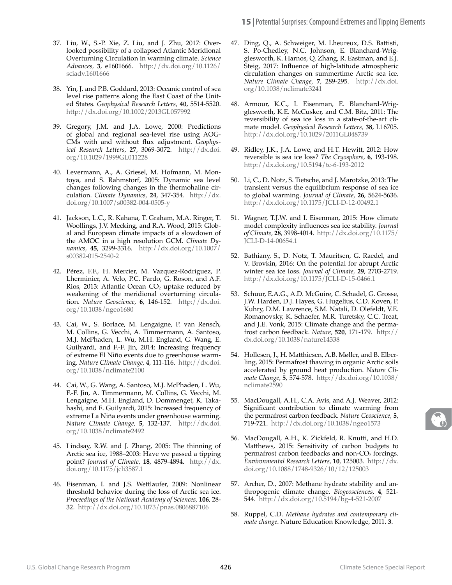- 37. Liu, W., S.-P. Xie, Z. Liu, and J. Zhu, 2017: Overlooked possibility of a collapsed Atlantic Meridional Overturning Circulation in warming climate. *Science Advances,* **3**, e1601666. [http://dx.doi.org/10.1126/](http://dx.doi.org/10.1126/sciadv.1601666) [sciadv.1601666](http://dx.doi.org/10.1126/sciadv.1601666)
- 38. Yin, J. and P.B. Goddard, 2013: Oceanic control of sea level rise patterns along the East Coast of the United States. *Geophysical Research Letters,* **40**, 5514-5520. <http://dx.doi.org/10.1002/2013GL057992>
- 39. Gregory, J.M. and J.A. Lowe, 2000: Predictions of global and regional sea-level rise using AOG-CMs with and without flux adjustment. *Geophysical Research Letters,* **27**, 3069-3072. [http://dx.doi.](http://dx.doi.org/10.1029/1999GL011228) [org/10.1029/1999GL011228](http://dx.doi.org/10.1029/1999GL011228)
- 40. Levermann, A., A. Griesel, M. Hofmann, M. Montoya, and S. Rahmstorf, 2005: Dynamic sea level changes following changes in the thermohaline circulation. *Climate Dynamics,* **24**, 347-354. [http://dx.](http://dx.doi.org/10.1007/s00382-004-0505-y) [doi.org/10.1007/s00382-004-0505-y](http://dx.doi.org/10.1007/s00382-004-0505-y)
- 41. Jackson, L.C., R. Kahana, T. Graham, M.A. Ringer, T. Woollings, J.V. Mecking, and R.A. Wood, 2015: Global and European climate impacts of a slowdown of the AMOC in a high resolution GCM. *Climate Dynamics,* **45**, 3299-3316. [http://dx.doi.org/10.1007/](http://dx.doi.org/10.1007/s00382-015-2540-2) [s00382-015-2540-2](http://dx.doi.org/10.1007/s00382-015-2540-2)
- 42. Pérez, F.F., H. Mercier, M. Vazquez-Rodriguez, P. Lherminier, A. Velo, P.C. Pardo, G. Roson, and A.F. Rios, 2013: Atlantic Ocean  $CO<sub>2</sub>$  uptake reduced by weakening of the meridional overturning circulation. *Nature Geoscience,* **6**, 146-152. [http://dx.doi.](http://dx.doi.org/10.1038/ngeo1680) [org/10.1038/ngeo1680](http://dx.doi.org/10.1038/ngeo1680)
- 43. Cai, W., S. Borlace, M. Lengaigne, P. van Rensch, M. Collins, G. Vecchi, A. Timmermann, A. Santoso, M.J. McPhaden, L. Wu, M.H. England, G. Wang, E. Guilyardi, and F.-F. Jin, 2014: Increasing frequency of extreme El Niño events due to greenhouse warming. *Nature Climate Change,* **4**, 111-116. [http://dx.doi.](http://dx.doi.org/10.1038/nclimate2100) [org/10.1038/nclimate2100](http://dx.doi.org/10.1038/nclimate2100)
- 44. Cai, W., G. Wang, A. Santoso, M.J. McPhaden, L. Wu, F.-F. Jin, A. Timmermann, M. Collins, G. Vecchi, M. Lengaigne, M.H. England, D. Dommenget, K. Takahashi, and E. Guilyardi, 2015: Increased frequency of extreme La Niña events under greenhouse warming. *Nature Climate Change,* **5**, 132-137. [http://dx.doi.](http://dx.doi.org/10.1038/nclimate2492) [org/10.1038/nclimate2492](http://dx.doi.org/10.1038/nclimate2492)
- 45. Lindsay, R.W. and J. Zhang, 2005: The thinning of Arctic sea ice, 1988–2003: Have we passed a tipping point? *Journal of Climate,* **18**, 4879-4894. [http://dx.](http://dx.doi.org/10.1175/jcli3587.1) [doi.org/10.1175/jcli3587.1](http://dx.doi.org/10.1175/jcli3587.1)
- 46. Eisenman, I. and J.S. Wettlaufer, 2009: Nonlinear threshold behavior during the loss of Arctic sea ice. *Proceedings of the National Academy of Sciences,* **106**, 28- 32. <http://dx.doi.org/10.1073/pnas.0806887106>
- 47. Ding, Q., A. Schweiger, M. Lheureux, D.S. Battisti, S. Po-Chedley, N.C. Johnson, E. Blanchard-Wrigglesworth, K. Harnos, Q. Zhang, R. Eastman, and E.J. Steig, 2017: Influence of high-latitude atmospheric circulation changes on summertime Arctic sea ice. *Nature Climate Change,* **7**, 289-295. [http://dx.doi.](http://dx.doi.org/10.1038/nclimate3241) [org/10.1038/nclimate3241](http://dx.doi.org/10.1038/nclimate3241)
- 48. Armour, K.C., I. Eisenman, E. Blanchard-Wrigglesworth, K.E. McCusker, and C.M. Bitz, 2011: The reversibility of sea ice loss in a state-of-the-art climate model. *Geophysical Research Letters,* **38**, L16705. <http://dx.doi.org/10.1029/2011GL048739>
- 49. Ridley, J.K., J.A. Lowe, and H.T. Hewitt, 2012: How reversible is sea ice loss? *The Cryosphere,* **6**, 193-198. <http://dx.doi.org/10.5194/tc-6-193-2012>
- 50. Li, C., D. Notz, S. Tietsche, and J. Marotzke, 2013: The transient versus the equilibrium response of sea ice to global warming. *Journal of Climate,* **26**, 5624-5636. <http://dx.doi.org/10.1175/JCLI-D-12-00492.1>
- 51. Wagner, T.J.W. and I. Eisenman, 2015: How climate model complexity influences sea ice stability. *Journal of Climate,* **28**, 3998-4014. [http://dx.doi.org/10.1175/](http://dx.doi.org/10.1175/JCLI-D-14-00654.1) [JCLI-D-14-00654.1](http://dx.doi.org/10.1175/JCLI-D-14-00654.1)
- 52. Bathiany, S., D. Notz, T. Mauritsen, G. Raedel, and V. Brovkin, 2016: On the potential for abrupt Arctic winter sea ice loss. *Journal of Climate,* **29**, 2703-2719. <http://dx.doi.org/10.1175/JCLI-D-15-0466.1>
- 53. Schuur, E.A.G., A.D. McGuire, C. Schadel, G. Grosse, J.W. Harden, D.J. Hayes, G. Hugelius, C.D. Koven, P. Kuhry, D.M. Lawrence, S.M. Natali, D. Olefeldt, V.E. Romanovsky, K. Schaefer, M.R. Turetsky, C.C. Treat, and J.E. Vonk, 2015: Climate change and the permafrost carbon feedback. *Nature,* **520**, 171-179. [http://](http://dx.doi.org/10.1038/nature14338) [dx.doi.org/10.1038/nature14338](http://dx.doi.org/10.1038/nature14338)
- 54. Hollesen, J., H. Matthiesen, A.B. Møller, and B. Elberling, 2015: Permafrost thawing in organic Arctic soils accelerated by ground heat production. *Nature Climate Change,* **5**, 574-578. [http://dx.doi.org/10.1038/](http://dx.doi.org/10.1038/nclimate2590) [nclimate2590](http://dx.doi.org/10.1038/nclimate2590)
- 55. MacDougall, A.H., C.A. Avis, and A.J. Weaver, 2012: Significant contribution to climate warming from the permafrost carbon feedback. *Nature Geoscience,* **5**, 719-721. <http://dx.doi.org/10.1038/ngeo1573>
- 56. MacDougall, A.H., K. Zickfeld, R. Knutti, and H.D. Matthews, 2015: Sensitivity of carbon budgets to permafrost carbon feedbacks and non- $CO<sub>2</sub>$  forcings. *Environmental Research Letters,* **10**, 125003. [http://dx.](http://dx.doi.org/10.1088/1748-9326/10/12/125003) [doi.org/10.1088/1748-9326/10/12/125003](http://dx.doi.org/10.1088/1748-9326/10/12/125003)
- 57. Archer, D., 2007: Methane hydrate stability and anthropogenic climate change. *Biogeosciences,* **4**, 521- 544. <http://dx.doi.org/10.5194/bg-4-521-2007>
- 58. Ruppel, C.D. *Methane hydrates and contemporary climate change*. Nature Education Knowledge, 2011. **3**.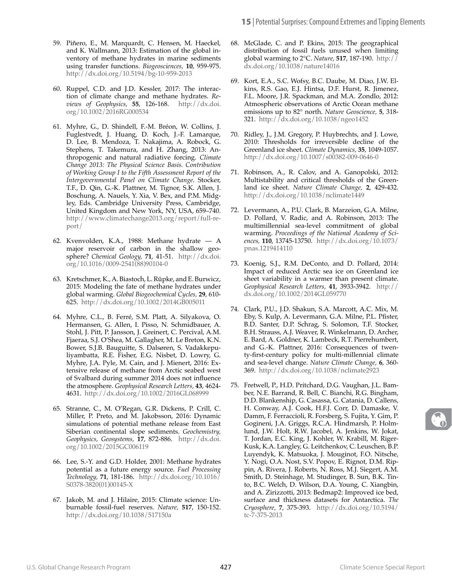- 59. Piñero, E., M. Marquardt, C. Hensen, M. Haeckel, and K. Wallmann, 2013: Estimation of the global inventory of methane hydrates in marine sediments using transfer functions. *Biogeosciences,* **10**, 959-975. <http://dx.doi.org/10.5194/bg-10-959-2013>
- 60. Ruppel, C.D. and J.D. Kessler, 2017: The interaction of climate change and methane hydrates. *Reviews of Geophysics,* **55**, 126-168. [http://dx.doi.](http://dx.doi.org/10.1002/2016RG000534) [org/10.1002/2016RG000534](http://dx.doi.org/10.1002/2016RG000534)
- 61. Myhre, G., D. Shindell, F.-M. Bréon, W. Collins, J. Fuglestvedt, J. Huang, D. Koch, J.-F. Lamarque, D. Lee, B. Mendoza, T. Nakajima, A. Robock, G. Stephens, T. Takemura, and H. Zhang, 2013: Anthropogenic and natural radiative forcing. *Climate Change 2013: The Physical Science Basis. Contribution of Working Group I to the Fifth Assessment Report of the Intergovernmental Panel on Climate Change*. Stocker, T.F., D. Qin, G.-K. Plattner, M. Tignor, S.K. Allen, J. Boschung, A. Nauels, Y. Xia, V. Bex, and P.M. Midgley, Eds. Cambridge University Press, Cambridge, United Kingdom and New York, NY, USA, 659–740. [http://www.climatechange2013.org/report/full-re](http://www.climatechange2013.org/report/full-report/)[port/](http://www.climatechange2013.org/report/full-report/)
- 62. Kvenvolden, K.A., 1988: Methane hydrate A major reservoir of carbon in the shallow geosphere? *Chemical Geology,* **71**, 41-51. [http://dx.doi.](http://dx.doi.org/10.1016/0009-2541(88)90104-0) [org/10.1016/0009-2541\(88\)90104-0](http://dx.doi.org/10.1016/0009-2541(88)90104-0)
- 63. Kretschmer, K., A. Biastoch, L. Rüpke, and E. Burwicz, 2015: Modeling the fate of methane hydrates under global warming. *Global Biogeochemical Cycles,* **29**, 610- 625. <http://dx.doi.org/10.1002/2014GB005011>
- 64. Myhre, C.L., B. Ferré, S.M. Platt, A. Silyakova, O. Hermansen, G. Allen, I. Pisso, N. Schmidbauer, A. Stohl, J. Pitt, P. Jansson, J. Greinert, C. Percival, A.M. Fjaeraa, S.J. O'Shea, M. Gallagher, M. Le Breton, K.N. Bower, S.J.B. Bauguitte, S. Dalsøren, S. Vadakkepuliyambatta, R.E. Fisher, E.G. Nisbet, D. Lowry, G. Myhre, J.A. Pyle, M. Cain, and J. Mienert, 2016: Extensive release of methane from Arctic seabed west of Svalbard during summer 2014 does not influence the atmosphere. *Geophysical Research Letters,* **43**, 4624- 4631. <http://dx.doi.org/10.1002/2016GL068999>
- 65. Stranne, C., M. O'Regan, G.R. Dickens, P. Crill, C. Miller, P. Preto, and M. Jakobsson, 2016: Dynamic simulations of potential methane release from East Siberian continental slope sediments. *Geochemistry, Geophysics, Geosystems,* **17**, 872-886. [http://dx.doi.](http://dx.doi.org/10.1002/2015GC006119) [org/10.1002/2015GC006119](http://dx.doi.org/10.1002/2015GC006119)
- 66. Lee, S.-Y. and G.D. Holder, 2001: Methane hydrates potential as a future energy source. *Fuel Processing Technology,* **71**, 181-186. [http://dx.doi.org/10.1016/](http://dx.doi.org/10.1016/S0378-3820(01)00145-X) [S0378-3820\(01\)00145-X](http://dx.doi.org/10.1016/S0378-3820(01)00145-X)
- 67. Jakob, M. and J. Hilaire, 2015: Climate science: Unburnable fossil-fuel reserves. *Nature,* **517**, 150-152. <http://dx.doi.org/10.1038/517150a>
- 68. McGlade, C. and P. Ekins, 2015: The geographical distribution of fossil fuels unused when limiting global warming to 2°C. *Nature,* **517**, 187-190. [http://](http://dx.doi.org/10.1038/nature14016) [dx.doi.org/10.1038/nature14016](http://dx.doi.org/10.1038/nature14016)
- 69. Kort, E.A., S.C. Wofsy, B.C. Daube, M. Diao, J.W. Elkins, R.S. Gao, E.J. Hintsa, D.F. Hurst, R. Jimenez, F.L. Moore, J.R. Spackman, and M.A. Zondlo, 2012: Atmospheric observations of Arctic Ocean methane emissions up to 82° north. *Nature Geoscience,* **5**, 318- 321. <http://dx.doi.org/10.1038/ngeo1452>
- 70. Ridley, J., J.M. Gregory, P. Huybrechts, and J. Lowe, 2010: Thresholds for irreversible decline of the Greenland ice sheet. *Climate Dynamics,* **35**, 1049-1057. <http://dx.doi.org/10.1007/s00382-009-0646-0>
- 71. Robinson, A., R. Calov, and A. Ganopolski, 2012: Multistability and critical thresholds of the Greenland ice sheet. *Nature Climate Change,* **2**, 429-432. <http://dx.doi.org/10.1038/nclimate1449>
- 72. Levermann, A., P.U. Clark, B. Marzeion, G.A. Milne, D. Pollard, V. Radic, and A. Robinson, 2013: The multimillennial sea-level commitment of global warming. *Proceedings of the National Academy of Sciences,* **110**, 13745-13750. [http://dx.doi.org/10.1073/](http://dx.doi.org/10.1073/pnas.1219414110) [pnas.1219414110](http://dx.doi.org/10.1073/pnas.1219414110)
- 73. Koenig, S.J., R.M. DeConto, and D. Pollard, 2014: Impact of reduced Arctic sea ice on Greenland ice sheet variability in a warmer than present climate. *Geophysical Research Letters,* **41**, 3933-3942. [http://](http://dx.doi.org/10.1002/2014GL059770) [dx.doi.org/10.1002/2014GL059770](http://dx.doi.org/10.1002/2014GL059770)
- 74. Clark, P.U., J.D. Shakun, S.A. Marcott, A.C. Mix, M. Eby, S. Kulp, A. Levermann, G.A. Milne, P.L. Pfister, B.D. Santer, D.P. Schrag, S. Solomon, T.F. Stocker, B.H. Strauss, A.J. Weaver, R. Winkelmann, D. Archer, E. Bard, A. Goldner, K. Lambeck, R.T. Pierrehumbert, and G.-K. Plattner, 2016: Consequences of twenty-first-century policy for multi-millennial climate and sea-level change. *Nature Climate Change,* **6**, 360- 369. <http://dx.doi.org/10.1038/nclimate2923>
- 75. Fretwell, P., H.D. Pritchard, D.G. Vaughan, J.L. Bamber, N.E. Barrand, R. Bell, C. Bianchi, R.G. Bingham, D.D. Blankenship, G. Casassa, G. Catania, D. Callens, H. Conway, A.J. Cook, H.F.J. Corr, D. Damaske, V. Damm, F. Ferraccioli, R. Forsberg, S. Fujita, Y. Gim, P. Gogineni, J.A. Griggs, R.C.A. Hindmarsh, P. Holmlund, J.W. Holt, R.W. Jacobel, A. Jenkins, W. Jokat, T. Jordan, E.C. King, J. Kohler, W. Krabill, M. Riger-Kusk, K.A. Langley, G. Leitchenkov, C. Leuschen, B.P. Luyendyk, K. Matsuoka, J. Mouginot, F.O. Nitsche, Y. Nogi, O.A. Nost, S.V. Popov, E. Rignot, D.M. Rippin, A. Rivera, J. Roberts, N. Ross, M.J. Siegert, A.M. Smith, D. Steinhage, M. Studinger, B. Sun, B.K. Tinto, B.C. Welch, D. Wilson, D.A. Young, C. Xiangbin, and A. Zirizzotti, 2013: Bedmap2: Improved ice bed, surface and thickness datasets for Antarctica. *The Cryosphere,* **7**, 375-393. [http://dx.doi.org/10.5194/](http://dx.doi.org/10.5194/tc-7-375-2013) [tc-7-375-2013](http://dx.doi.org/10.5194/tc-7-375-2013)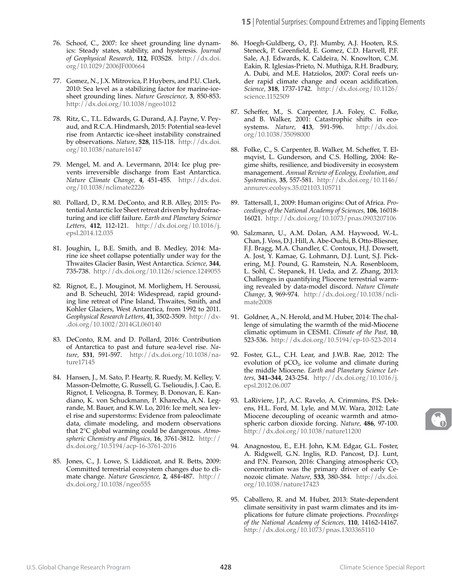- 76. Schoof, C., 2007: Ice sheet grounding line dynamics: Steady states, stability, and hysteresis. *Journal of Geophysical Research,* **112**, F03S28. [http://dx.doi.](http://dx.doi.org/10.1029/2006JF000664) [org/10.1029/2006JF000664](http://dx.doi.org/10.1029/2006JF000664)
- 77. Gomez, N., J.X. Mitrovica, P. Huybers, and P.U. Clark, 2010: Sea level as a stabilizing factor for marine-icesheet grounding lines. *Nature Geoscience,* **3**, 850-853. <http://dx.doi.org/10.1038/ngeo1012>
- 78. Ritz, C., T.L. Edwards, G. Durand, A.J. Payne, V. Peyaud, and R.C.A. Hindmarsh, 2015: Potential sea-level rise from Antarctic ice-sheet instability constrained by observations. *Nature,* **528**, 115-118. [http://dx.doi.](http://dx.doi.org/10.1038/nature16147) [org/10.1038/nature16147](http://dx.doi.org/10.1038/nature16147)
- 79. Mengel, M. and A. Levermann, 2014: Ice plug prevents irreversible discharge from East Antarctica. *Nature Climate Change,* **4**, 451-455. [http://dx.doi.](http://dx.doi.org/10.1038/nclimate2226) [org/10.1038/nclimate2226](http://dx.doi.org/10.1038/nclimate2226)
- 80. Pollard, D., R.M. DeConto, and R.B. Alley, 2015: Potential Antarctic Ice Sheet retreat driven by hydrofracturing and ice cliff failure. *Earth and Planetary Science Letters,* **412**, 112-121. [http://dx.doi.org/10.1016/j.](http://dx.doi.org/10.1016/j.epsl.2014.12.035) [epsl.2014.12.035](http://dx.doi.org/10.1016/j.epsl.2014.12.035)
- 81. Joughin, I., B.E. Smith, and B. Medley, 2014: Marine ice sheet collapse potentially under way for the Thwaites Glacier Basin, West Antarctica. *Science,* **344**, 735-738. <http://dx.doi.org/10.1126/science.1249055>
- 82. Rignot, E., J. Mouginot, M. Morlighem, H. Seroussi, and B. Scheuchl, 2014: Widespread, rapid grounding line retreat of Pine Island, Thwaites, Smith, and Kohler Glaciers, West Antarctica, from 1992 to 2011. *Geophysical Research Letters,* **41**, 3502-3509. [http://dx-](http://dx.doi.org/10.1002/2014GL060140) [.doi.org/10.1002/2014GL060140](http://dx.doi.org/10.1002/2014GL060140)
- 83. DeConto, R.M. and D. Pollard, 2016: Contribution of Antarctica to past and future sea-level rise. *Nature,* **531**, 591-597. [http://dx.doi.org/10.1038/na](http://dx.doi.org/10.1038/nature17145)[ture17145](http://dx.doi.org/10.1038/nature17145)
- 84. Hansen, J., M. Sato, P. Hearty, R. Ruedy, M. Kelley, V. Masson-Delmotte, G. Russell, G. Tselioudis, J. Cao, E. Rignot, I. Velicogna, B. Tormey, B. Donovan, E. Kandiano, K. von Schuckmann, P. Kharecha, A.N. Legrande, M. Bauer, and K.W. Lo, 2016: Ice melt, sea level rise and superstorms: Evidence from paleoclimate data, climate modeling, and modern observations that 2°C global warming could be dangerous. *Atmospheric Chemistry and Physics,* **16**, 3761-3812. [http://](http://dx.doi.org/10.5194/acp-16-3761-2016) [dx.doi.org/10.5194/acp-16-3761-2016](http://dx.doi.org/10.5194/acp-16-3761-2016)
- 85. Jones, C., J. Lowe, S. Liddicoat, and R. Betts, 2009: Committed terrestrial ecosystem changes due to climate change. *Nature Geoscience,* **2**, 484-487. [http://](http://dx.doi.org/10.1038/ngeo555) [dx.doi.org/10.1038/ngeo555](http://dx.doi.org/10.1038/ngeo555)
- 86. Hoegh-Guldberg, O., P.J. Mumby, A.J. Hooten, R.S. Steneck, P. Greenfield, E. Gomez, C.D. Harvell, P.F. Sale, A.J. Edwards, K. Caldeira, N. Knowlton, C.M. Eakin, R. Iglesias-Prieto, N. Muthiga, R.H. Bradbury, A. Dubi, and M.E. Hatziolos, 2007: Coral reefs under rapid climate change and ocean acidification. *Science,* **318**, 1737-1742. [http://dx.doi.org/10.1126/](http://dx.doi.org/10.1126/science.1152509) [science.1152509](http://dx.doi.org/10.1126/science.1152509)
- 87. Scheffer, M., S. Carpenter, J.A. Foley, C. Folke, and B. Walker, 2001: Catastrophic shifts in ecosystems. *Nature,* **413**, 591-596. [http://dx.doi.](http://dx.doi.org/10.1038/35098000) [org/10.1038/35098000](http://dx.doi.org/10.1038/35098000)
- 88. Folke, C., S. Carpenter, B. Walker, M. Scheffer, T. Elmqvist, L. Gunderson, and C.S. Holling, 2004: Regime shifts, resilience, and biodiversity in ecosystem management. *Annual Review of Ecology, Evolution, and Systematics,* **35**, 557-581. [http://dx.doi.org/10.1146/](http://dx.doi.org/10.1146/annurev.ecolsys.35.021103.105711) [annurev.ecolsys.35.021103.105711](http://dx.doi.org/10.1146/annurev.ecolsys.35.021103.105711)
- 89. Tattersall, I., 2009: Human origins: Out of Africa. *Proceedings of the National Academy of Sciences,* **106**, 16018- 16021. <http://dx.doi.org/10.1073/pnas.0903207106>
- 90. Salzmann, U., A.M. Dolan, A.M. Haywood, W.-L. Chan, J. Voss, D.J. Hill, A. Abe-Ouchi, B. Otto-Bliesner, F.J. Bragg, M.A. Chandler, C. Contoux, H.J. Dowsett, A. Jost, Y. Kamae, G. Lohmann, D.J. Lunt, S.J. Pickering, M.J. Pound, G. Ramstein, N.A. Rosenbloom, L. Sohl, C. Stepanek, H. Ueda, and Z. Zhang, 2013: Challenges in quantifying Pliocene terrestrial warming revealed by data-model discord. *Nature Climate Change,* **3**, 969-974. [http://dx.doi.org/10.1038/ncli](https://www.nature.com/articles/nclimate2008)[mate2008](https://www.nature.com/articles/nclimate2008)
- 91. Goldner, A., N. Herold, and M. Huber, 2014: The challenge of simulating the warmth of the mid-Miocene climatic optimum in CESM1. *Climate of the Past,* **10**, 523-536. <http://dx.doi.org/10.5194/cp-10-523-2014>
- 92. Foster, G.L., C.H. Lear, and J.W.B. Rae, 2012: The evolution of  $pCO<sub>2</sub>$ , ice volume and climate during the middle Miocene. *Earth and Planetary Science Letters,* **341–344**, 243-254. [http://dx.doi.org/10.1016/j.](http://dx.doi.org/10.1016/j.epsl.2012.06.007) [epsl.2012.06.007](http://dx.doi.org/10.1016/j.epsl.2012.06.007)
- 93. LaRiviere, J.P., A.C. Ravelo, A. Crimmins, P.S. Dekens, H.L. Ford, M. Lyle, and M.W. Wara, 2012: Late Miocene decoupling of oceanic warmth and atmospheric carbon dioxide forcing. *Nature,* **486**, 97-100. <http://dx.doi.org/10.1038/nature11200>
- 94. Anagnostou, E., E.H. John, K.M. Edgar, G.L. Foster, A. Ridgwell, G.N. Inglis, R.D. Pancost, D.J. Lunt, and P.N. Pearson, 2016: Changing atmospheric  $CO<sub>2</sub>$ concentration was the primary driver of early Cenozoic climate. *Nature,* **533**, 380-384. [http://dx.doi.](http://dx.doi.org/10.1038/nature17423) [org/10.1038/nature17423](http://dx.doi.org/10.1038/nature17423)
- 95. Caballero, R. and M. Huber, 2013: State-dependent climate sensitivity in past warm climates and its implications for future climate projections. *Proceedings of the National Academy of Sciences,* **110**, 14162-14167. <http://dx.doi.org/10.1073/pnas.1303365110>